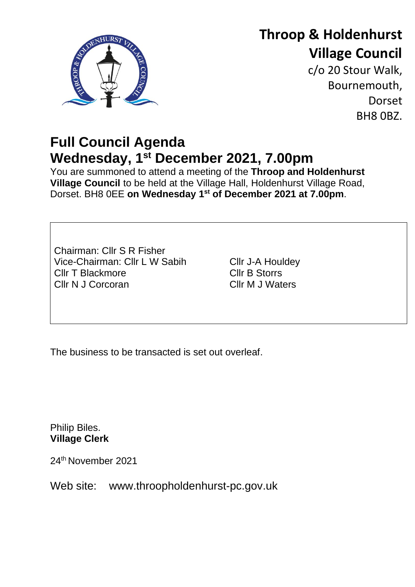

# **Throop & Holdenhurst Village Council**

c/o 20 Stour Walk, Bournemouth, **Dorset** BH8 0BZ.

## **Full Council Agenda Wednesday, 1 st December 2021, 7.00pm**

You are summoned to attend a meeting of the **Throop and Holdenhurst Village Council** to be held at the Village Hall, Holdenhurst Village Road, Dorset. BH8 0EE **on Wednesday 1 st of December 2021 at 7.00pm**.

Chairman: Cllr S R Fisher Vice-Chairman: Cllr L W Sabih Cllr T Blackmore Cllr N J Corcoran

Cllr J-A Houldey Cllr B Storrs Cllr M J Waters

The business to be transacted is set out overleaf.

Philip Biles. **Village Clerk**

24th November 2021

Web site: www.throopholdenhurst-pc.gov.uk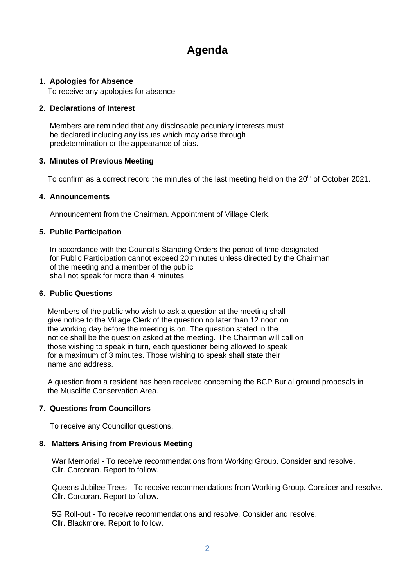### **Agenda**

#### **1. Apologies for Absence**

To receive any apologies for absence

#### **2. Declarations of Interest**

 Members are reminded that any disclosable pecuniary interests must be declared including any issues which may arise through predetermination or the appearance of bias.

#### **3. Minutes of Previous Meeting**

To confirm as a correct record the minutes of the last meeting held on the 20<sup>th</sup> of October 2021.

#### **4. Announcements**

Announcement from the Chairman. Appointment of Village Clerk.

#### **5. Public Participation**

 In accordance with the Council's Standing Orders the period of time designated for Public Participation cannot exceed 20 minutes unless directed by the Chairman of the meeting and a member of the public shall not speak for more than 4 minutes.

#### **6. Public Questions**

 Members of the public who wish to ask a question at the meeting shall give notice to the Village Clerk of the question no later than 12 noon on the working day before the meeting is on. The question stated in the notice shall be the question asked at the meeting. The Chairman will call on those wishing to speak in turn, each questioner being allowed to speak for a maximum of 3 minutes. Those wishing to speak shall state their name and address.

 A question from a resident has been received concerning the BCP Burial ground proposals in the Muscliffe Conservation Area.

#### **7. Questions from Councillors**

To receive any Councillor questions.

#### **8. Matters Arising from Previous Meeting**

 War Memorial - To receive recommendations from Working Group. Consider and resolve. Cllr. Corcoran. Report to follow.

 Queens Jubilee Trees - To receive recommendations from Working Group. Consider and resolve. Cllr. Corcoran. Report to follow.

 5G Roll-out - To receive recommendations and resolve. Consider and resolve. Cllr. Blackmore. Report to follow.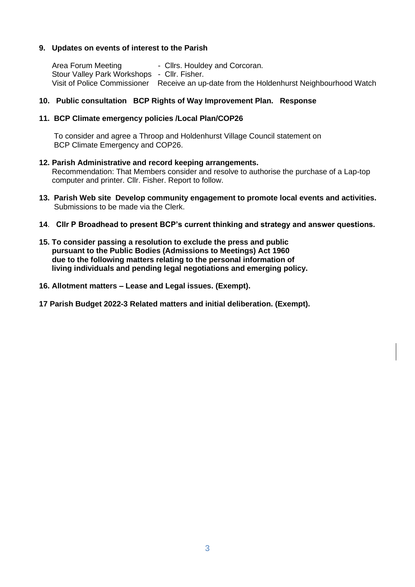#### **9. Updates on events of interest to the Parish**

Area Forum Meeting - Cllrs. Houldey and Corcoran. Stour Valley Park Workshops - Cllr. Fisher. Visit of Police Commissioner Receive an up-date from the Holdenhurst Neighbourhood Watch

#### **10. Public consultation BCP Rights of Way Improvement Plan. Response**

#### **11. BCP Climate emergency policies /Local Plan/COP26**

 To consider and agree a Throop and Holdenhurst Village Council statement on BCP Climate Emergency and COP26.

- **12. Parish Administrative and record keeping arrangements.** Recommendation: That Members consider and resolve to authorise the purchase of a Lap-top computer and printer. Cllr. Fisher. Report to follow.
- **13. Parish Web site Develop community engagement to promote local events and activities.**  Submissions to be made via the Clerk.
- **14**. **Cllr P Broadhead to present BCP's current thinking and strategy and answer questions.**
- **15. To consider passing a resolution to exclude the press and public pursuant to the Public Bodies (Admissions to Meetings) Act 1960 due to the following matters relating to the personal information of living individuals and pending legal negotiations and emerging policy.**
- **16. Allotment matters – Lease and Legal issues. (Exempt).**
- **17 Parish Budget 2022-3 Related matters and initial deliberation. (Exempt).**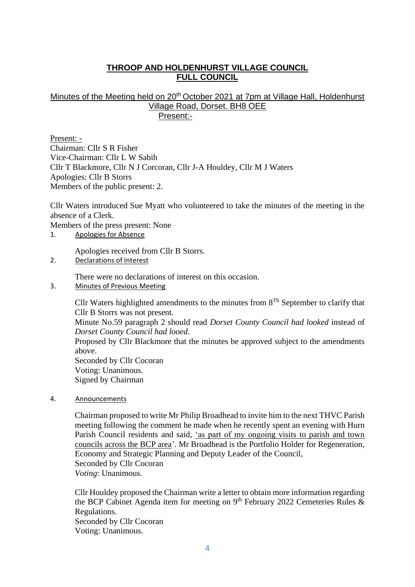#### **THROOP AND HOLDENHURST VILLAGE COUNCIL FULL COUNCIL**

#### Minutes of the Meeting held on 20<sup>th</sup> October 2021 at 7pm at Village Hall, Holdenhurst Village Road, Dorset. BH8 OEE Present:-

Present: - Chairman: Cllr S R Fisher Vice-Chairman: Cllr L W Sabih Cllr T Blackmore, Cllr N J Corcoran, Cllr J-A Houldey, Cllr M J Waters Apologies: Cllr B Storrs Members of the public present: 2.

Cllr Waters introduced Sue Myatt who volunteered to take the minutes of the meeting in the absence of a Clerk.

Members of the press present: None

1. Apologies for Absence

Apologies received from Cllr B Storrs.

2. Declarations of Interest

There were no declarations of interest on this occasion.

3. Minutes of Previous Meeting

Cllr Waters highlighted amendments to the minutes from  $8<sup>Th</sup>$  September to clarify that Cllr B Storrs was not present.

Minute No.59 paragraph 2 should read *Dorset County Council had looked* instead of *Dorset County Council had looed*.

Proposed by Cllr Blackmore that the minutes be approved subject to the amendments above.

Seconded by Cllr Cocoran Voting: Unanimous. Signed by Chairman

4. Announcements

Chairman proposed to write Mr Philip Broadhead to invite him to the next THVC Parish meeting following the comment he made when he recently spent an evening with Hurn Parish Council residents and said, 'as part of my ongoing visits to parish and town councils across the BCP area'. Mr Broadhead is the Portfolio Holder for Regeneration, Economy and Strategic Planning and Deputy Leader of the Council, Seconded by Cllr Cocoran *Voting*: Unanimous.

Cllr Houldey proposed the Chairman write a letter to obtain more information regarding the BCP Cabinet Agenda item for meeting on  $9<sup>th</sup>$  February 2022 Cemeteries Rules & Regulations. Seconded by Cllr Cocoran Voting: Unanimous.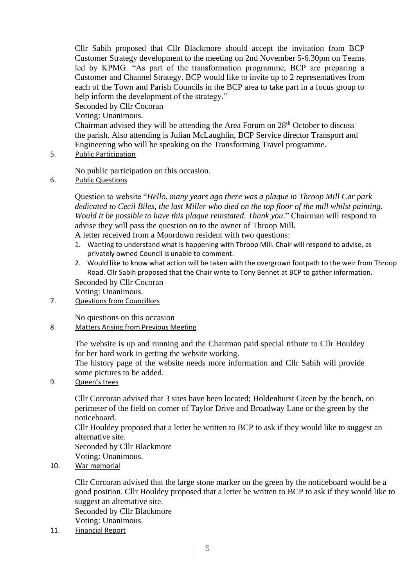Cllr Sabih proposed that Cllr Blackmore should accept the invitation from BCP Customer Strategy development to the meeting on 2nd November 5-6.30pm on Teams led by KPMG. "As part of the transformation programme, BCP are preparing a Customer and Channel Strategy. BCP would like to invite up to 2 representatives from each of the Town and Parish Councils in the BCP area to take part in a focus group to help inform the development of the strategy."

Seconded by Cllr Cocoran

Voting: Unanimous.

Chairman advised they will be attending the Area Forum on  $28<sup>th</sup>$  October to discuss the parish. Also attending is Julian McLaughlin, BCP Service director Transport and Engineering who will be speaking on the Transforming Travel programme.

5. Public Participation

No public participation on this occasion.

6. Public Questions

Question to website "*Hello, many years ago there was a plaque in Throop Mill Car park dedicated to Cecil Biles, the last Miller who died on the top floor of the mill whilst painting. Would it be possible to have this plaque reinstated. Thank you*." Chairman will respond to advise they will pass the question on to the owner of Throop Mill.

A letter received from a Moordown resident with two questions:

- 1. Wanting to understand what is happening with Throop Mill. Chair will respond to advise, as privately owned Council is unable to comment.
- 2. Would like to know what action will be taken with the overgrown footpath to the weir from Throop Road. Cllr Sabih proposed that the Chair write to Tony Bennet at BCP to gather information. Seconded by Cllr Cocoran

Voting: Unanimous.

7. Questions from Councillors

No questions on this occasion

8. Matters Arising from Previous Meeting

The website is up and running and the Chairman paid special tribute to Cllr Houldey for her hard work in getting the website working.

The history page of the website needs more information and Cllr Sabih will provide some pictures to be added.

9. Queen's trees

Cllr Corcoran advised that 3 sites have been located; Holdenhurst Green by the bench, on perimeter of the field on corner of Taylor Drive and Broadway Lane or the green by the noticeboard.

Cllr Houldey proposed that a letter be written to BCP to ask if they would like to suggest an alternative site.

Seconded by Cllr Blackmore

Voting: Unanimous.

10. War memorial

Cllr Corcoran advised that the large stone marker on the green by the noticeboard would be a good position. Cllr Houldey proposed that a letter be written to BCP to ask if they would like to suggest an alternative site. Seconded by Cllr Blackmore

Voting: Unanimous.

11. Financial Report